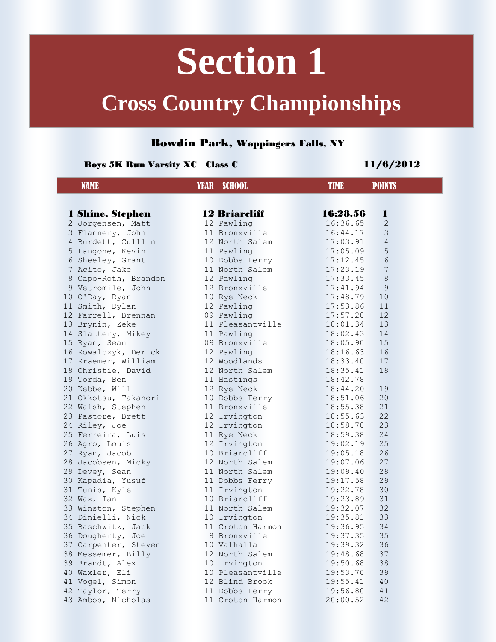# **Section 1**

## **Cross Country Championships**

### Bowdin Park, Wappingers Falls, NY

#### Boys 5K Run Varsity XC Class C 11/6/2012

L

| <b>NAME</b>          | <b>YEAR SCHOOL</b>   | <b>TIME</b><br><b>POINTS</b> |
|----------------------|----------------------|------------------------------|
|                      |                      |                              |
| 1 Shine, Stephen     | <b>12 Briarcliff</b> | 16:28.56<br>1                |
| 2 Jorgensen, Matt    | 12 Pawling           | 16:36.65<br>$\mathbf{2}$     |
| 3 Flannery, John     | 11 Bronxville        | 3<br>16:44.17                |
| 4 Burdett, Culllin   | 12 North Salem       | $\overline{4}$<br>17:03.91   |
| 5 Langone, Kevin     | 11 Pawling           | 5<br>17:05.09                |
| 6 Sheeley, Grant     | 10 Dobbs Ferry       | $\sqrt{6}$<br>17:12.45       |
| 7 Acito, Jake        | 11 North Salem       | 7<br>17:23.19                |
| 8 Capo-Roth, Brandon | 12 Pawling           | $8\,$<br>17:33.45            |
| 9 Vetromile, John    | 12 Bronxville        | 9<br>17:41.94                |
| 10 O'Day, Ryan       | 10 Rye Neck          | 10<br>17:48.79               |
| 11 Smith, Dylan      | 12 Pawling           | 11<br>17:53.86               |
| 12 Farrell, Brennan  | 09 Pawling           | 12<br>17:57.20               |
| 13 Brynin, Zeke      | 11 Pleasantville     | 13<br>18:01.34               |
| 14 Slattery, Mikey   | 11 Pawling           | 18:02.43<br>14               |
| 15 Ryan, Sean        | 09 Bronxville        | 15<br>18:05.90               |
| 16 Kowalczyk, Derick | 12 Pawling           | 16<br>18:16.63               |
| 17 Kraemer, William  | 12 Woodlands         | 17<br>18:33.40               |
| 18 Christie, David   | 12 North Salem       | 18<br>18:35.41               |
| 19 Torda, Ben        | 11 Hastings          | 18:42.78                     |
| 20 Kebbe, Will       | 12 Rye Neck          | 19<br>18:44.20               |
| 21 Okkotsu, Takanori | 10 Dobbs Ferry       | 20<br>18:51.06               |
| 22 Walsh, Stephen    | 11 Bronxville        | 21<br>18:55.38               |
| 23 Pastore, Brett    | 12 Irvington         | 22<br>18:55.63               |
| 24 Riley, Joe        | 12 Irvington         | 23<br>18:58.70               |
| 25 Ferreira, Luis    | 11 Rye Neck          | 24<br>18:59.38               |
| 26 Agro, Louis       | 12 Irvington         | 25<br>19:02.19               |
| 27 Ryan, Jacob       | 10 Briarcliff        | 26<br>19:05.18               |
| 28 Jacobsen, Micky   | 12 North Salem       | 27<br>19:07.06               |
| 29 Devey, Sean       | 11 North Salem       | 28<br>19:09.40               |
| 30 Kapadia, Yusuf    | 11 Dobbs Ferry       | 19:17.58<br>29               |
| 31 Tunis, Kyle       | 11 Irvington         | 30<br>19:22.78               |
| 32 Wax, Ian          | 10 Briarcliff        | 19:23.89<br>31               |
| 33 Winston, Stephen  | 11 North Salem       | 19:32.07<br>32               |
| 34 Dinielli, Nick    | 10 Irvington         | 33<br>19:35.81               |
| 35 Baschwitz, Jack   | 11 Croton Harmon     | 34<br>19:36.95               |
| 36 Dougherty, Joe    | 8 Bronxville         | 19:37.35<br>35               |
| 37 Carpenter, Steven | 10 Valhalla          | 19:39.32<br>36               |
| 38 Messemer, Billy   | 12 North Salem       | 37<br>19:48.68               |
| 39 Brandt, Alex      | 10 Irvington         | 38<br>19:50.68               |
| 40 Waxler, Eli       | 10 Pleasantville     | 39<br>19:53.70               |
| 41 Vogel, Simon      | 12 Blind Brook       | 19:55.41<br>40               |
| 42 Taylor, Terry     | 11 Dobbs Ferry       | 19:56.80<br>41               |
| 43 Ambos, Nicholas   | 11 Croton Harmon     | 20:00.52<br>42               |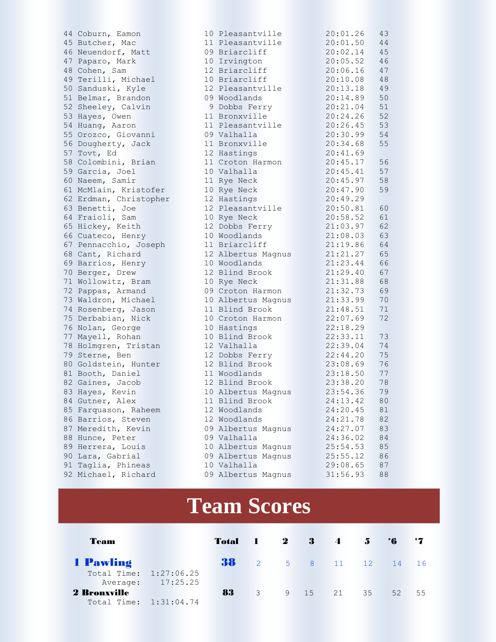44 Coburn, Eamon 1<br>45 Butcher, Mac 1 45 Butcher, Mac 46 Neuendorf, Matt 0 47 Paparo, Mark 48 Cohen, Sam 49 Terilli, Michael 50 Sanduski, Kyle 51 Belmar, Brandon 0 52 Sheeley, Calvin 53 Hayes, Owen 54 Huang, Aaron 55 Orozco, Giovanni 0 56 Dougherty, Jack 57 Tovt, Ed 58 Colombini, Brian 59 Garcia, Joel 60 Naeem, Samir 61 McMlain, Kristofer 62 Erdman, Christopher 63 Benetti, Joe 64 Fraioli, Sam 65 Hickey, Keith 66 Cuateco, Henry 67 Pennacchio, Joseph 68 Cant, Richard 69 Barrios, Henry 70 Berger, Drew 71 Wollowitz, Bram 72 Pappas, Armand 0 73 Waldron, Michael 74 Rosenberg, Jason 75 Derbabian, Nick 76 Nolan, George 77 Mayell, Rohan 78 Holmgren, Tristan 79 Sterne, Ben 80 Goldstein, Hunter 81 Booth, Daniel 82 Gaines, Jacob 83 Hayes, Kevin 84 Gutner, Alex 85 Farquason, Raheem 86 Barrios, Steven 87 Meredith, Kevin 0 88 Hunce, Peter 0 89 Herrera, Louis 90 Lara, Gabrial 0 91 Taglia, Phineas 92 Michael, Richard 0

| LO.                 | Pleasantville                  |  | 20:01.26             | 43<br>44 |
|---------------------|--------------------------------|--|----------------------|----------|
| 9                   | 11 Pleasantville<br>Briarcliff |  | 20:01.50<br>20:02.14 | 45       |
|                     |                                |  | 20:05.52             |          |
|                     | 10 Irvington                   |  |                      | 46       |
|                     | 12 Briarcliff                  |  | 20:06.16             | 47       |
| LO.                 | Briarcliff                     |  | 20:10.08             | 48       |
| 12                  | Pleasantville                  |  | 20:13.18             | 49       |
| 9                   | Woodlands                      |  | 20:14.89             | 50       |
| 9                   | Dobbs Ferry                    |  | 20:21.04             | 51       |
| $\overline{1}$      | Bronxville                     |  | 20:24.26             | 52       |
| $\overline{1}$<br>9 | Pleasantville                  |  | 20:26.45             | 53       |
| $\overline{1}$      | Valhalla                       |  | 20:30.99<br>20:34.68 | 54       |
| $\sqrt{2}$          | Bronxville                     |  |                      | 55       |
| $\overline{1}$      | Hastings                       |  | 20:41.69             |          |
| LO.                 | Croton Harmon<br>Valhalla      |  | 20:45.17<br>20:45.41 | 56<br>57 |
| $\lfloor 1 \rfloor$ |                                |  | 20:45.97             | 58       |
| LO.                 | Rye Neck                       |  | 20:47.90             | 59       |
|                     | Rye Neck<br>12 Hastings        |  | 20:49.29             |          |
|                     | 12 Pleasantville               |  | 20:50.81             | 60       |
| LO.                 |                                |  | 20:58.52             | 61       |
| $\sqrt{2}$          | Rye Neck<br>Dobbs Ferry        |  | 21:03.97             | 62       |
| LO.                 | Woodlands                      |  | 21:08.03             | 63       |
| $\overline{1}$      | Briarcliff                     |  | 21:19.86             | 64       |
| $\sqrt{2}$          | Albertus Magnus                |  | 21:21.27             | 65       |
| LO.                 | Woodlands                      |  | 21:23.44             | 66       |
| L 2                 | Blind Brook                    |  | 21:29.40             | 67       |
| LO.                 | Rye Neck                       |  | 21:31.88             | 68       |
|                     | 09 Croton Harmon               |  | 21:32.73             | 69       |
| LO.                 | Albertus Magnus                |  | 21:33.99             | 70       |
| $\overline{1}$      | Blind Brook                    |  | 21:48.51             | 71       |
| LO.                 | Croton Harmon                  |  | 22:07.69             | 72       |
| LO.                 | Hastings                       |  | 22:18.29             |          |
| LO.                 | Blind Brook                    |  | 22:33.11             | 73       |
|                     | 12 Valhalla                    |  | 22:39.04             | 74       |
|                     | 12 Dobbs Ferry                 |  | 22:44.20             | 75       |
|                     | 12 Blind Brook                 |  | 23:08.69             | 76       |
|                     | 11 Woodlands                   |  | 23:18.50             | 77       |
| $\sqrt{2}$          | <b>Blind Brook</b>             |  | 23:38.20             | 78       |
|                     | 10 Albertus Magnus             |  | 23:54.36             | 79       |
| $\lfloor 1 \rfloor$ | Blind Brook                    |  | 24:13.42             | 80       |
|                     | 12 Woodlands                   |  | 24:20.45             | 81       |
| L 2                 | Woodlands                      |  | 24:21.78             | 82       |
| 9                   | Albertus Magnus                |  | 24:27.07             | 83       |
|                     | 09 Valhalla                    |  | 24:36.02             | 84       |
| LO.                 | Albertus<br>Magnus             |  | 25:54.53             | 85       |
| 9                   | Albertus<br>Magnus             |  | 25:55.12             | 86       |
| LO.                 | Valhalla                       |  | 29:08.65             | 87       |
| 9                   | Albertus Magnus                |  | 31:56.93             | 88       |
|                     |                                |  |                      |          |

### **Team Scores**

| Team                   |                   | Total 1 2 |                |         | $3 \quad 4$       | $5^{\circ}$ | $\ddot{\mathbf{6}}$ |    |
|------------------------|-------------------|-----------|----------------|---------|-------------------|-------------|---------------------|----|
| 1 Pawling              |                   | 38        |                |         | 2 5 8 11 12 14 16 |             |                     |    |
| Total Time: 1:27:06.25 |                   |           |                |         |                   |             |                     |    |
|                        | Average: 17:25.25 |           |                |         |                   |             |                     |    |
| <b>2 Bronxville</b>    |                   | 83        | $\overline{3}$ | 9 15 21 |                   | 35          | 52                  | 55 |
| Total Time: 1:31:04.74 |                   |           |                |         |                   |             |                     |    |